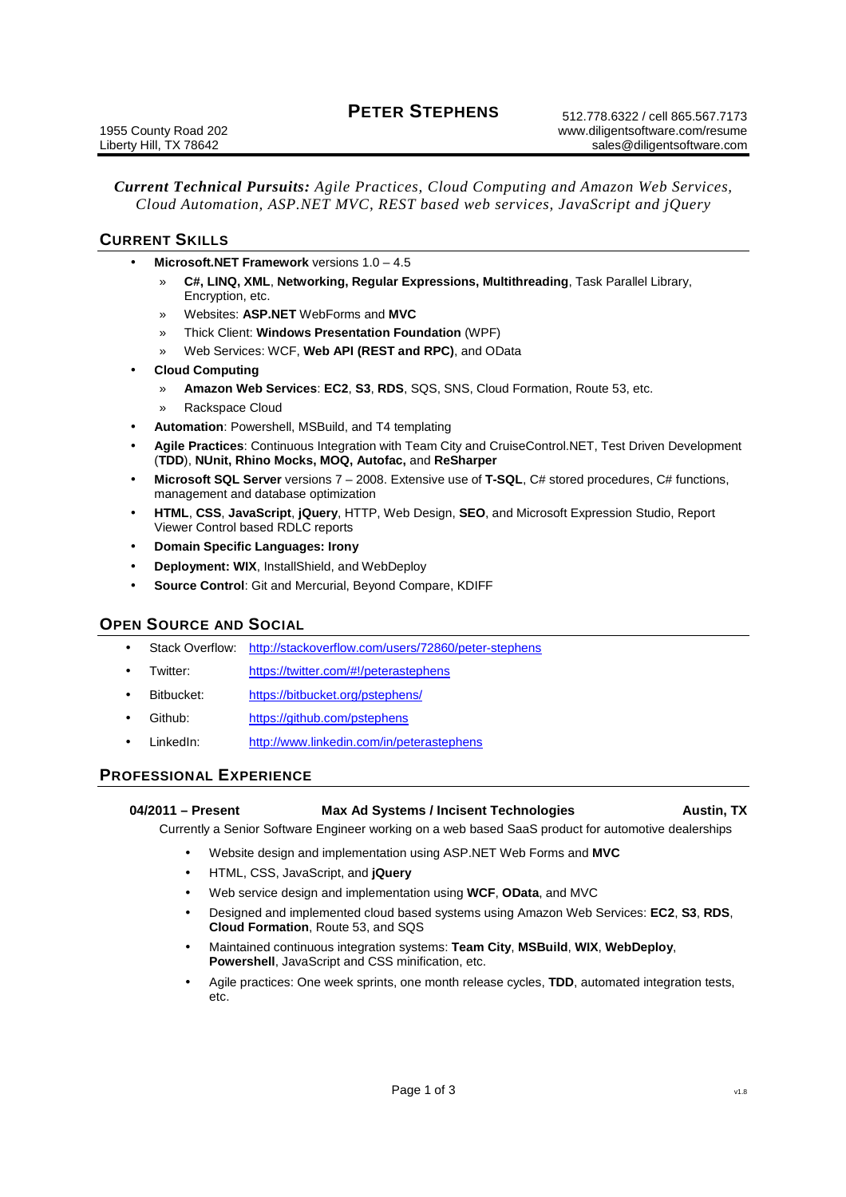# **PETER STEPHENS**

*Current Technical Pursuits: Agile Practices, Cloud Computing and Amazon Web Services, Cloud Automation, ASP.NET MVC, REST based web services, JavaScript and jQuery*

# **CURRENT SKILLS**

- **Microsoft.NET Framework** versions 1.0 4.5
	- » **C#, LINQ, XML**, **Networking, Regular Expressions, Multithreading**, Task Parallel Library, Encryption, etc.
	- » Websites: **ASP.NET** WebForms and **MVC**
	- » Thick Client: **Windows Presentation Foundation** (WPF)
	- » Web Services: WCF, **Web API (REST and RPC)**, and OData
- **Cloud Computing**
	- » **Amazon Web Services**: **EC2**, **S3**, **RDS**, SQS, SNS, Cloud Formation, Route 53, etc.
	- » Rackspace Cloud
- **Automation**: Powershell, MSBuild, and T4 templating
- **Agile Practices**: Continuous Integration with Team City and CruiseControl.NET, Test Driven Development (**TDD**), **NUnit, Rhino Mocks, MOQ, Autofac,** and **ReSharper**
- **Microsoft SQL Server** versions 7 2008. Extensive use of **T-SQL**, C# stored procedures, C# functions, management and database optimization
- **HTML**, **CSS**, **JavaScript**, **jQuery**, HTTP, Web Design, **SEO**, and Microsoft Expression Studio, Report Viewer Control based RDLC reports
- **Domain Specific Languages: Irony**
- **Deployment: WIX**, InstallShield, and WebDeploy
- **Source Control**: Git and Mercurial, Beyond Compare, KDIFF

## **OPEN SOURCE AND SOCIAL**

- Stack Overflow: http://stackoverflow.com/users/72860/peter-stephens
- Twitter: https://twitter.com/#!/peterastephens
- Bitbucket: https://bitbucket.org/pstephens/
- Github: https://github.com/pstephens
- LinkedIn: http://www.linkedin.com/in/peterastephens

## **PROFESSIONAL EXPERIENCE**

| 04/2011 – Present | <b>Max Ad Systems / Incisent Technologies</b> | <b>Austin, TX</b> |
|-------------------|-----------------------------------------------|-------------------|
|                   |                                               |                   |

Currently a Senior Software Engineer working on a web based SaaS product for automotive dealerships

- Website design and implementation using ASP.NET Web Forms and **MVC**
- HTML, CSS, JavaScript, and **jQuery**
- Web service design and implementation using **WCF**, **OData**, and MVC
- Designed and implemented cloud based systems using Amazon Web Services: **EC2**, **S3**, **RDS**, **Cloud Formation**, Route 53, and SQS
- Maintained continuous integration systems: **Team City**, **MSBuild**, **WIX**, **WebDeploy**, **Powershell**, JavaScript and CSS minification, etc.
- Agile practices: One week sprints, one month release cycles, **TDD**, automated integration tests, etc.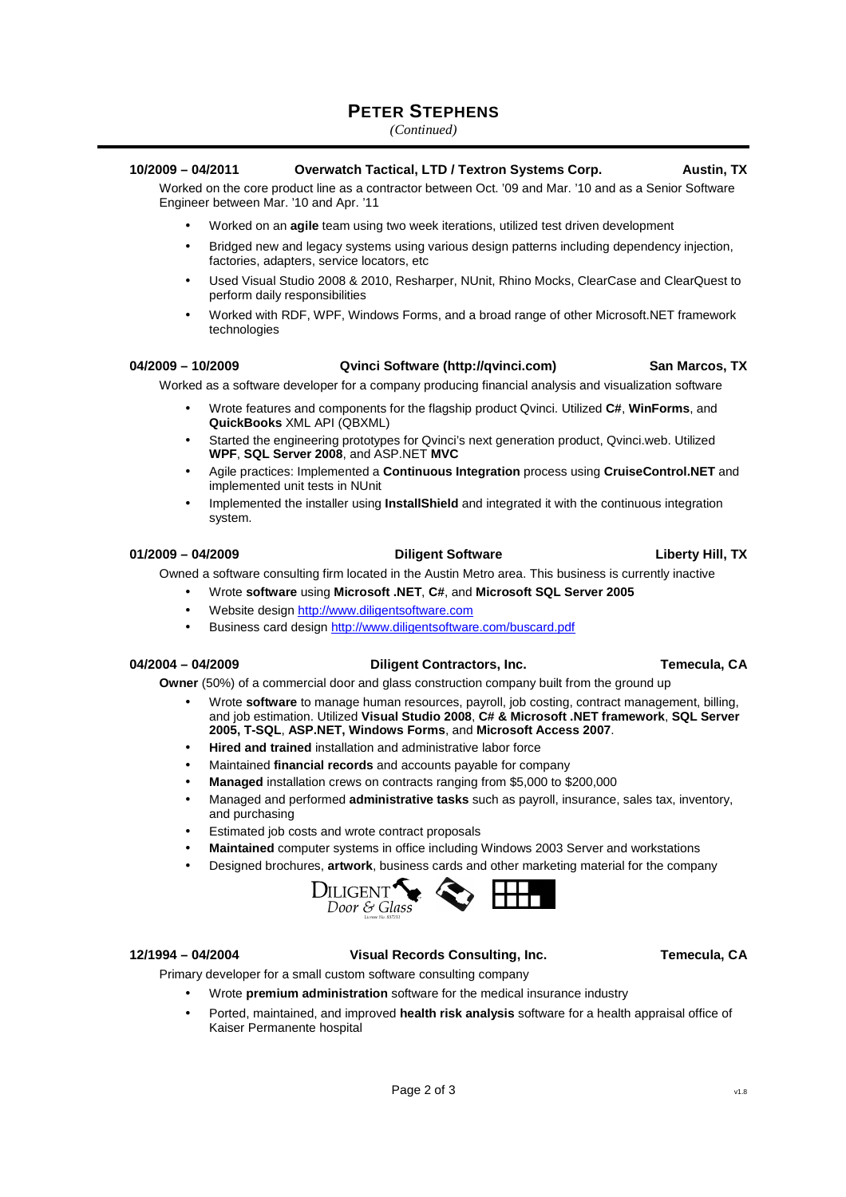# **PETER STEPHENS**

*(Continued)* 

## **10/2009 – 04/2011 Overwatch Tactical, LTD / Textron Systems Corp. Austin, TX**

Worked on the core product line as a contractor between Oct. '09 and Mar. '10 and as a Senior Software Engineer between Mar. '10 and Apr. '11

- Worked on an **agile** team using two week iterations, utilized test driven development
- Bridged new and legacy systems using various design patterns including dependency injection, factories, adapters, service locators, etc
- Used Visual Studio 2008 & 2010, Resharper, NUnit, Rhino Mocks, ClearCase and ClearQuest to perform daily responsibilities
- Worked with RDF, WPF, Windows Forms, and a broad range of other Microsoft.NET framework technologies

### **04/2009 – 10/2009 Qvinci Software (http://qvinci.com) San Marcos, TX**

Worked as a software developer for a company producing financial analysis and visualization software

- Wrote features and components for the flagship product Qvinci. Utilized **C#**, **WinForms**, and **QuickBooks** XML API (QBXML)
- Started the engineering prototypes for Qvinci's next generation product, Qvinci.web. Utilized **WPF**, **SQL Server 2008**, and ASP.NET **MVC**
- Agile practices: Implemented a **Continuous Integration** process using **CruiseControl.NET** and implemented unit tests in NUnit
- Implemented the installer using **InstallShield** and integrated it with the continuous integration system.

### **01/2009 – 04/2009 Diligent Software Liberty Hill, TX**

Owned a software consulting firm located in the Austin Metro area. This business is currently inactive

- Wrote **software** using **Microsoft .NET**, **C#**, and **Microsoft SQL Server 2005**
- Website design http://www.diligentsoftware.com
- Business card design http://www.diligentsoftware.com/buscard.pdf

### **04/2004 – 04/2009 Diligent Contractors, Inc. Temecula, CA**

**Owner** (50%) of a commercial door and glass construction company built from the ground up

- Wrote **software** to manage human resources, payroll, job costing, contract management, billing, and job estimation. Utilized **Visual Studio 2008**, **C# & Microsoft .NET framework**, **SQL Server 2005, T-SQL**, **ASP.NET, Windows Forms**, and **Microsoft Access 2007**.
- **Hired and trained** installation and administrative labor force
- Maintained **financial records** and accounts payable for company
- **Managed** installation crews on contracts ranging from \$5,000 to \$200,000
- Managed and performed **administrative tasks** such as payroll, insurance, sales tax, inventory, and purchasing
- Estimated job costs and wrote contract proposals
- **Maintained** computer systems in office including Windows 2003 Server and workstations
- Designed brochures, **artwork**, business cards and other marketing material for the company



**12/1994 – 04/2004 Visual Records Consulting, Inc. Temecula, CA**  Primary developer for a small custom software consulting company

- 
- Wrote **premium administration** software for the medical insurance industry
- Ported, maintained, and improved **health risk analysis** software for a health appraisal office of Kaiser Permanente hospital